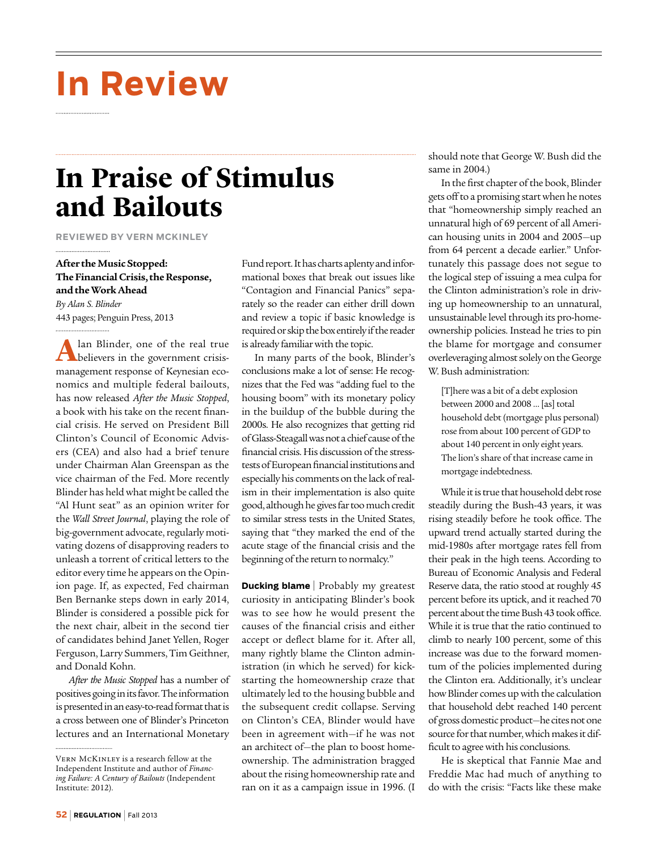# **In Review**

## **In Praise of Stimulus and Bailouts**

**Reviewed by Vern McKinley**

### **After the Music Stopped: The Financial Crisis, the Response, and the Work Ahead**

*By Alan S. Blinder* 443 pages; Penguin Press, 2013

A lan Blinder, one of the real true<br>believers in the government crisismanagement response of Keynesian economics and multiple federal bailouts, has now released *After the Music Stopped*, a book with his take on the recent financial crisis. He served on President Bill Clinton's Council of Economic Advisers (CEA) and also had a brief tenure under Chairman Alan Greenspan as the vice chairman of the Fed. More recently Blinder has held what might be called the "Al Hunt seat" as an opinion writer for the *Wall Street Journal*, playing the role of big-government advocate, regularly motivating dozens of disapproving readers to unleash a torrent of critical letters to the editor every time he appears on the Opinion page. If, as expected, Fed chairman Ben Bernanke steps down in early 2014, Blinder is considered a possible pick for the next chair, albeit in the second tier of candidates behind Janet Yellen, Roger Ferguson, Larry Summers, Tim Geithner, and Donald Kohn.

*After the Music Stopped* has a number of positives going in its favor. The information is presented in an easy-to-read format that is a cross between one of Blinder's Princeton lectures and an International Monetary

Fund report. It has charts aplenty and informational boxes that break out issues like "Contagion and Financial Panics" separately so the reader can either drill down and review a topic if basic knowledge is required or skip the box entirely if the reader is already familiar with the topic.

In many parts of the book, Blinder's conclusions make a lot of sense: He recognizes that the Fed was "adding fuel to the housing boom" with its monetary policy in the buildup of the bubble during the 2000s. He also recognizes that getting rid of Glass-Steagall was not a chief cause of the financial crisis. His discussion of the stresstests of European financial institutions and especially his comments on the lack of realism in their implementation is also quite good, although he gives far too much credit to similar stress tests in the United States, saying that "they marked the end of the acute stage of the financial crisis and the beginning of the return to normalcy."

**Ducking blame** | Probably my greatest curiosity in anticipating Blinder's book was to see how he would present the causes of the financial crisis and either accept or deflect blame for it. After all, many rightly blame the Clinton administration (in which he served) for kickstarting the homeownership craze that ultimately led to the housing bubble and the subsequent credit collapse. Serving on Clinton's CEA, Blinder would have been in agreement with—if he was not an architect of—the plan to boost homeownership. The administration bragged about the rising homeownership rate and ran on it as a campaign issue in 1996. (I should note that George W. Bush did the same in 2004.)

In the first chapter of the book, Blinder gets off to a promising start when he notes that "homeownership simply reached an unnatural high of 69 percent of all American housing units in 2004 and 2005—up from 64 percent a decade earlier." Unfortunately this passage does not segue to the logical step of issuing a mea culpa for the Clinton administration's role in driving up homeownership to an unnatural, unsustainable level through its pro-homeownership policies. Instead he tries to pin the blame for mortgage and consumer overleveraging almost solely on the George W. Bush administration:

[T]here was a bit of a debt explosion between 2000 and 2008 … [as] total household debt (mortgage plus personal) rose from about 100 percent of GDP to about 140 percent in only eight years. The lion's share of that increase came in mortgage indebtedness.

While it is true that household debt rose steadily during the Bush-43 years, it was rising steadily before he took office. The upward trend actually started during the mid-1980s after mortgage rates fell from their peak in the high teens. According to Bureau of Economic Analysis and Federal Reserve data, the ratio stood at roughly 45 percent before its uptick, and it reached 70 percent about the time Bush 43 took office. While it is true that the ratio continued to climb to nearly 100 percent, some of this increase was due to the forward momentum of the policies implemented during the Clinton era. Additionally, it's unclear how Blinder comes up with the calculation that household debt reached 140 percent of gross domestic product—he cites not one source for that number, which makes it difficult to agree with his conclusions.

He is skeptical that Fannie Mae and Freddie Mac had much of anything to do with the crisis: "Facts like these make

Vern McKinley is a research fellow at the Independent Institute and author of *Financing Failure: A Century of Bailouts* (Independent Institute: 2012).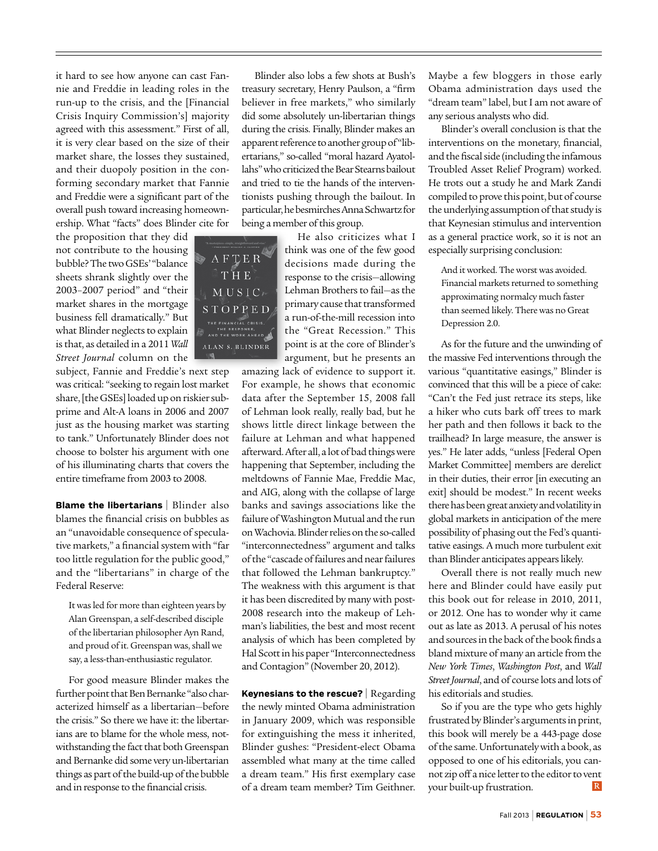it hard to see how anyone can cast Fannie and Freddie in leading roles in the run-up to the crisis, and the [Financial Crisis Inquiry Commission's] majority agreed with this assessment." First of all, it is very clear based on the size of their market share, the losses they sustained, and their duopoly position in the conforming secondary market that Fannie and Freddie were a significant part of the overall push toward increasing homeownership. What "facts" does Blinder cite for

the proposition that they did not contribute to the housing bubble? The two GSEs' "balance sheets shrank slightly over the 2003–2007 period" and "their market shares in the mortgage business fell dramatically." But what Blinder neglects to explain is that, as detailed in a 2011 *Wall Street Journal* column on the

subject, Fannie and Freddie's next step was critical: "seeking to regain lost market share, [the GSEs] loaded up on riskier subprime and Alt-A loans in 2006 and 2007 just as the housing market was starting to tank." Unfortunately Blinder does not choose to bolster his argument with one of his illuminating charts that covers the entire timeframe from 2003 to 2008.

**Blame the libertarians** | Blinder also blames the financial crisis on bubbles as an "unavoidable consequence of speculative markets," a financial system with "far too little regulation for the public good," and the "libertarians" in charge of the Federal Reserve:

It was led for more than eighteen years by Alan Greenspan, a self-described disciple of the libertarian philosopher Ayn Rand, and proud of it. Greenspan was, shall we say, a less-than-enthusiastic regulator.

For good measure Blinder makes the further point that Ben Bernanke "also characterized himself as a libertarian—before the crisis." So there we have it: the libertarians are to blame for the whole mess, notwithstanding the fact that both Greenspan and Bernanke did some very un-libertarian things as part of the build-up of the bubble and in response to the financial crisis.

Blinder also lobs a few shots at Bush's treasury secretary, Henry Paulson, a "firm believer in free markets," who similarly did some absolutely un-libertarian things during the crisis. Finally, Blinder makes an apparent reference to another group of "libertarians," so-called "moral hazard Ayatollahs" who criticized the Bear Stearns bailout and tried to tie the hands of the interventionists pushing through the bailout. In particular, he besmirches Anna Schwartz for being a member of this group.

> He also criticizes what I think was one of the few good decisions made during the response to the crisis—allowing Lehman Brothers to fail—as the primary cause that transformed a run-of-the-mill recession into the "Great Recession." This point is at the core of Blinder's argument, but he presents an

amazing lack of evidence to support it. For example, he shows that economic data after the September 15, 2008 fall of Lehman look really, really bad, but he shows little direct linkage between the failure at Lehman and what happened afterward. After all, a lot of bad things were happening that September, including the meltdowns of Fannie Mae, Freddie Mac, and AIG, along with the collapse of large banks and savings associations like the failure of Washington Mutual and the run on Wachovia. Blinder relies on the so-called "interconnectedness" argument and talks of the "cascade of failures and near failures that followed the Lehman bankruptcy." The weakness with this argument is that it has been discredited by many with post-2008 research into the makeup of Lehman's liabilities, the best and most recent analysis of which has been completed by Hal Scott in his paper "Interconnectedness and Contagion" (November 20, 2012).

**Keynesians to the rescue?** | Regarding the newly minted Obama administration in January 2009, which was responsible for extinguishing the mess it inherited, Blinder gushes: "President-elect Obama assembled what many at the time called a dream team." His first exemplary case of a dream team member? Tim Geithner. Maybe a few bloggers in those early Obama administration days used the "dream team" label, but I am not aware of any serious analysts who did.

Blinder's overall conclusion is that the interventions on the monetary, financial, and the fiscal side (including the infamous Troubled Asset Relief Program) worked. He trots out a study he and Mark Zandi compiled to prove this point, but of course the underlying assumption of that study is that Keynesian stimulus and intervention as a general practice work, so it is not an especially surprising conclusion:

And it worked. The worst was avoided. Financial markets returned to something approximating normalcy much faster than seemed likely. There was no Great Depression 2.0.

As for the future and the unwinding of the massive Fed interventions through the various "quantitative easings," Blinder is convinced that this will be a piece of cake: "Can't the Fed just retrace its steps, like a hiker who cuts bark off trees to mark her path and then follows it back to the trailhead? In large measure, the answer is yes." He later adds, "unless [Federal Open Market Committee] members are derelict in their duties, their error [in executing an exit] should be modest." In recent weeks there has been great anxiety and volatility in global markets in anticipation of the mere possibility of phasing out the Fed's quantitative easings. A much more turbulent exit than Blinder anticipates appears likely.

Overall there is not really much new here and Blinder could have easily put this book out for release in 2010, 2011, or 2012. One has to wonder why it came out as late as 2013. A perusal of his notes and sources in the back of the book finds a bland mixture of many an article from the *New York Times*, *Washington Post*, and *Wall Street Journal*, and of course lots and lots of his editorials and studies.

So if you are the type who gets highly frustrated by Blinder's arguments in print, this book will merely be a 443-page dose of the same. Unfortunately with a book, as opposed to one of his editorials, you cannot zip off a nice letter to the editor to vent  $R$ your built-up frustration.



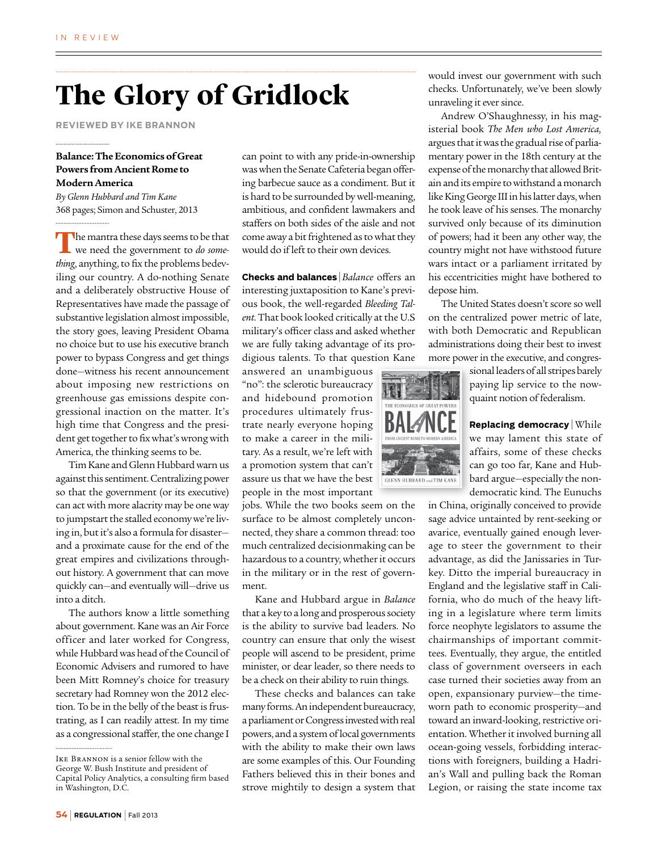## **The Glory of Gridlock**

**Reviewed by Ike Brannon**

#### **Balance: The Economics of Great Powers from Ancient Rome to Modern America**

*By Glenn Hubbard and Tim Kane* 368 pages; Simon and Schuster, 2013

The mantra these days seems to be that we need the government to *do something*, anything, to fix the problems bedeviling our country. A do-nothing Senate and a deliberately obstructive House of Representatives have made the passage of substantive legislation almost impossible, the story goes, leaving President Obama no choice but to use his executive branch power to bypass Congress and get things done—witness his recent announcement about imposing new restrictions on greenhouse gas emissions despite congressional inaction on the matter. It's high time that Congress and the president get together to fix what's wrong with America, the thinking seems to be.

Tim Kane and Glenn Hubbard warn us against this sentiment. Centralizing power so that the government (or its executive) can act with more alacrity may be one way to jumpstart the stalled economy we're living in, but it's also a formula for disaster and a proximate cause for the end of the great empires and civilizations throughout history. A government that can move quickly can—and eventually will—drive us into a ditch.

The authors know a little something about government. Kane was an Air Force officer and later worked for Congress, while Hubbard was head of the Council of Economic Advisers and rumored to have been Mitt Romney's choice for treasury secretary had Romney won the 2012 election. To be in the belly of the beast is frustrating, as I can readily attest. In my time as a congressional staffer, the one change I

can point to with any pride-in-ownership was when the Senate Cafeteria began offering barbecue sauce as a condiment. But it is hard to be surrounded by well-meaning, ambitious, and confident lawmakers and staffers on both sides of the aisle and not come away a bit frightened as to what they would do if left to their own devices.

**Checks and balances** | *Balance* offers an interesting juxtaposition to Kane's previous book, the well-regarded *Bleeding Talent*. That book looked critically at the U.S military's officer class and asked whether we are fully taking advantage of its prodigious talents. To that question Kane

answered an unambiguous "no": the sclerotic bureaucracy and hidebound promotion procedures ultimately frustrate nearly everyone hoping to make a career in the military. As a result, we're left with a promotion system that can't assure us that we have the best people in the most important

jobs. While the two books seem on the surface to be almost completely unconnected, they share a common thread: too much centralized decisionmaking can be hazardous to a country, whether it occurs in the military or in the rest of government.

Kane and Hubbard argue in *Balance* that a key to a long and prosperous society is the ability to survive bad leaders. No country can ensure that only the wisest people will ascend to be president, prime minister, or dear leader, so there needs to be a check on their ability to ruin things.

These checks and balances can take many forms. An independent bureaucracy, a parliament or Congress invested with real powers, and a system of local governments with the ability to make their own laws are some examples of this. Our Founding Fathers believed this in their bones and strove mightily to design a system that would invest our government with such checks. Unfortunately, we've been slowly unraveling it ever since.

Andrew O'Shaughnessy, in his magisterial book *The Men who Lost America,*  argues that it was the gradual rise of parliamentary power in the 18th century at the expense of the monarchy that allowed Britain and its empire to withstand a monarch like King George III in his latter days, when he took leave of his senses. The monarchy survived only because of its diminution of powers; had it been any other way, the country might not have withstood future wars intact or a parliament irritated by his eccentricities might have bothered to depose him.

The United States doesn't score so well on the centralized power metric of late, with both Democratic and Republican administrations doing their best to invest more power in the executive, and congres-



sional leaders of all stripes barely paying lip service to the nowquaint notion of federalism.

**Replacing democracy** | While we may lament this state of affairs, some of these checks can go too far, Kane and Hubbard argue—especially the nondemocratic kind. The Eunuchs

in China, originally conceived to provide sage advice untainted by rent-seeking or avarice, eventually gained enough leverage to steer the government to their advantage, as did the Janissaries in Turkey. Ditto the imperial bureaucracy in England and the legislative staff in California, who do much of the heavy lifting in a legislature where term limits force neophyte legislators to assume the chairmanships of important committees. Eventually, they argue, the entitled class of government overseers in each case turned their societies away from an open, expansionary purview—the timeworn path to economic prosperity—and toward an inward-looking, restrictive orientation. Whether it involved burning all ocean-going vessels, forbidding interactions with foreigners, building a Hadrian's Wall and pulling back the Roman Legion, or raising the state income tax

Ike Brannon is a senior fellow with the George W. Bush Institute and president of Capital Policy Analytics, a consulting firm based in Washington, D.C.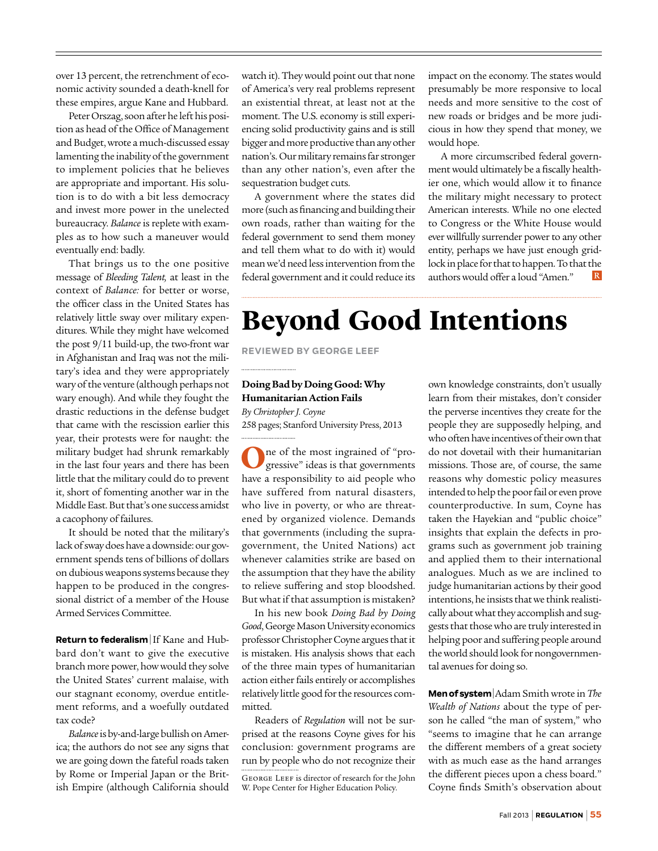over 13 percent, the retrenchment of economic activity sounded a death-knell for these empires, argue Kane and Hubbard.

Peter Orszag, soon after he left his position as head of the Office of Management and Budget, wrote a much-discussed essay lamenting the inability of the government to implement policies that he believes are appropriate and important. His solution is to do with a bit less democracy and invest more power in the unelected bureaucracy. *Balance* is replete with examples as to how such a maneuver would eventually end: badly.

That brings us to the one positive message of *Bleeding Talent,* at least in the context of *Balance:* for better or worse, the officer class in the United States has relatively little sway over military expenditures. While they might have welcomed the post 9/11 build-up, the two-front war in Afghanistan and Iraq was not the military's idea and they were appropriately wary of the venture (although perhaps not wary enough). And while they fought the drastic reductions in the defense budget that came with the rescission earlier this year, their protests were for naught: the military budget had shrunk remarkably in the last four years and there has been little that the military could do to prevent it, short of fomenting another war in the Middle East. But that's one success amidst a cacophony of failures.

It should be noted that the military's lack of sway does have a downside: our government spends tens of billions of dollars on dubious weapons systems because they happen to be produced in the congressional district of a member of the House Armed Services Committee.

**Return to federalism** | If Kane and Hubbard don't want to give the executive branch more power, how would they solve the United States' current malaise, with our stagnant economy, overdue entitlement reforms, and a woefully outdated tax code?

*Balance* is by-and-large bullish on America; the authors do not see any signs that we are going down the fateful roads taken by Rome or Imperial Japan or the British Empire (although California should

watch it). They would point out that none of America's very real problems represent an existential threat, at least not at the moment. The U.S. economy is still experiencing solid productivity gains and is still bigger and more productive than any other nation's. Our military remains far stronger than any other nation's, even after the sequestration budget cuts.

A government where the states did more (such as financing and building their own roads, rather than waiting for the federal government to send them money and tell them what to do with it) would mean we'd need less intervention from the federal government and it could reduce its impact on the economy. The states would presumably be more responsive to local needs and more sensitive to the cost of new roads or bridges and be more judicious in how they spend that money, we would hope.

A more circumscribed federal government would ultimately be a fiscally healthier one, which would allow it to finance the military might necessary to protect American interests. While no one elected to Congress or the White House would ever willfully surrender power to any other entity, perhaps we have just enough gridlock in place for that to happen. To that the authors would offer a loud "Amen."  $|R|$ 

## **Beyond Good Intentions**

**Reviewed by George Leef**

#### **Doing Bad by Doing Good: Why Humanitarian Action Fails**

*By Christopher J. Coyne* 258 pages; Stanford University Press, 2013

**O**ne of the most ingrained of "progressive" ideas is that governments have a responsibility to aid people who have suffered from natural disasters, who live in poverty, or who are threatened by organized violence. Demands that governments (including the supragovernment, the United Nations) act whenever calamities strike are based on the assumption that they have the ability to relieve suffering and stop bloodshed. But what if that assumption is mistaken?

In his new book *Doing Bad by Doing Good*, George Mason University economics professor Christopher Coyne argues that it is mistaken. His analysis shows that each of the three main types of humanitarian action either fails entirely or accomplishes relatively little good for the resources committed.

George Leef is director of research for the John W. Pope Center for Higher Education Policy. Readers of *Regulation* will not be surprised at the reasons Coyne gives for his conclusion: government programs are run by people who do not recognize their

own knowledge constraints, don't usually learn from their mistakes, don't consider the perverse incentives they create for the people they are supposedly helping, and who often have incentives of their own that do not dovetail with their humanitarian missions. Those are, of course, the same reasons why domestic policy measures intended to help the poor fail or even prove counterproductive. In sum, Coyne has taken the Hayekian and "public choice" insights that explain the defects in programs such as government job training and applied them to their international analogues. Much as we are inclined to judge humanitarian actions by their good intentions, he insists that we think realistically about what they accomplish and suggests that those who are truly interested in helping poor and suffering people around the world should look for nongovernmental avenues for doing so.

**Men of system** | Adam Smith wrote in *The Wealth of Nations* about the type of person he called "the man of system," who "seems to imagine that he can arrange the different members of a great society with as much ease as the hand arranges the different pieces upon a chess board." Coyne finds Smith's observation about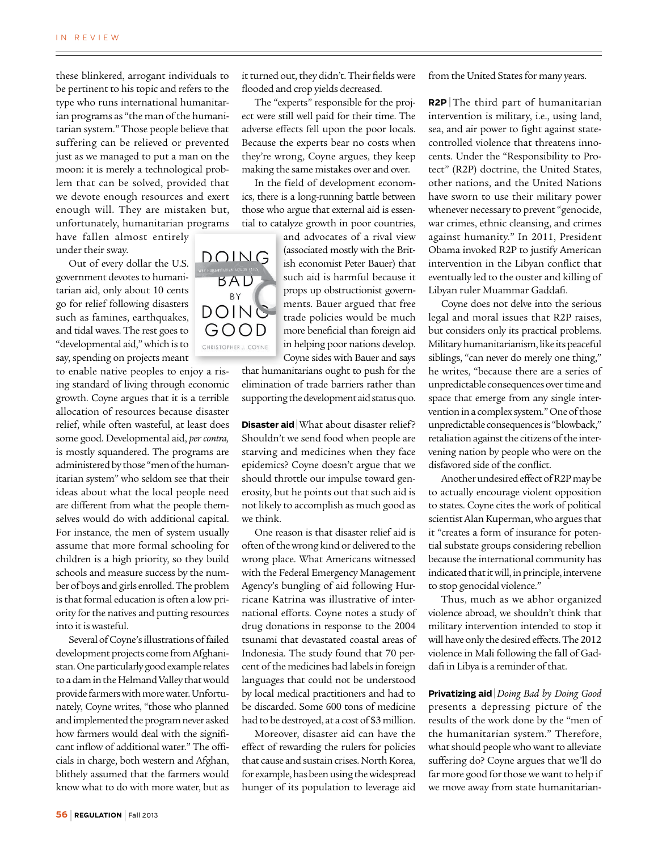these blinkered, arrogant individuals to be pertinent to his topic and refers to the type who runs international humanitarian programs as "the man of the humanitarian system." Those people believe that suffering can be relieved or prevented just as we managed to put a man on the moon: it is merely a technological problem that can be solved, provided that we devote enough resources and exert enough will. They are mistaken but, unfortunately, humanitarian programs

have fallen almost entirely under their sway.

Out of every dollar the U.S. government devotes to humanitarian aid, only about 10 cents go for relief following disasters such as famines, earthquakes, and tidal waves. The rest goes to "developmental aid," which is to say, spending on projects meant

to enable native peoples to enjoy a rising standard of living through economic growth. Coyne argues that it is a terrible allocation of resources because disaster relief, while often wasteful, at least does some good. Developmental aid, *per contra,* is mostly squandered. The programs are administered by those "men of the humanitarian system" who seldom see that their ideas about what the local people need are different from what the people themselves would do with additional capital. For instance, the men of system usually assume that more formal schooling for children is a high priority, so they build schools and measure success by the number of boys and girls enrolled. The problem is that formal education is often a low priority for the natives and putting resources into it is wasteful.

Several of Coyne's illustrations of failed development projects come from Afghanistan. One particularly good example relates to a dam in the Helmand Valley that would provide farmers with more water. Unfortunately, Coyne writes, "those who planned and implemented the program never asked how farmers would deal with the significant inflow of additional water." The officials in charge, both western and Afghan, blithely assumed that the farmers would know what to do with more water, but as it turned out, they didn't. Their fields were flooded and crop yields decreased.

The "experts" responsible for the project were still well paid for their time. The adverse effects fell upon the poor locals. Because the experts bear no costs when they're wrong, Coyne argues, they keep making the same mistakes over and over.

In the field of development economics, there is a long-running battle between those who argue that external aid is essential to catalyze growth in poor countries,

> and advocates of a rival view (associated mostly with the British economist Peter Bauer) that such aid is harmful because it props up obstructionist governments. Bauer argued that free trade policies would be much more beneficial than foreign aid in helping poor nations develop. Coyne sides with Bauer and says

that humanitarians ought to push for the elimination of trade barriers rather than supporting the development aid status quo.

**Disaster aid** What about disaster relief? Shouldn't we send food when people are starving and medicines when they face epidemics? Coyne doesn't argue that we should throttle our impulse toward generosity, but he points out that such aid is not likely to accomplish as much good as we think.

One reason is that disaster relief aid is often of the wrong kind or delivered to the wrong place. What Americans witnessed with the Federal Emergency Management Agency's bungling of aid following Hurricane Katrina was illustrative of international efforts. Coyne notes a study of drug donations in response to the 2004 tsunami that devastated coastal areas of Indonesia. The study found that 70 percent of the medicines had labels in foreign languages that could not be understood by local medical practitioners and had to be discarded. Some 600 tons of medicine had to be destroyed, at a cost of \$3 million.

Moreover, disaster aid can have the effect of rewarding the rulers for policies that cause and sustain crises. North Korea, for example, has been using the widespread hunger of its population to leverage aid from the United States for many years.

**R2P** | The third part of humanitarian intervention is military, i.e., using land, sea, and air power to fight against statecontrolled violence that threatens innocents. Under the "Responsibility to Protect" (R2P) doctrine, the United States, other nations, and the United Nations have sworn to use their military power whenever necessary to prevent "genocide, war crimes, ethnic cleansing, and crimes against humanity." In 2011, President Obama invoked R2P to justify American intervention in the Libyan conflict that eventually led to the ouster and killing of Libyan ruler Muammar Gaddafi.

Coyne does not delve into the serious legal and moral issues that R2P raises, but considers only its practical problems. Military humanitarianism, like its peaceful siblings, "can never do merely one thing," he writes, "because there are a series of unpredictable consequences over time and space that emerge from any single intervention in a complex system." One of those unpredictable consequences is "blowback," retaliation against the citizens of the intervening nation by people who were on the disfavored side of the conflict.

Another undesired effect of R2P may be to actually encourage violent opposition to states. Coyne cites the work of political scientist Alan Kuperman, who argues that it "creates a form of insurance for potential substate groups considering rebellion because the international community has indicated that it will, in principle, intervene to stop genocidal violence."

Thus, much as we abhor organized violence abroad, we shouldn't think that military intervention intended to stop it will have only the desired effects. The 2012 violence in Mali following the fall of Gaddafi in Libya is a reminder of that.

**Privatizing aid** | *Doing Bad by Doing Good* presents a depressing picture of the results of the work done by the "men of the humanitarian system." Therefore, what should people who want to alleviate suffering do? Coyne argues that we'll do far more good for those we want to help if we move away from state humanitarian-

DOING BAD BY DOING GOOD CHRISTOPHER J. COYNE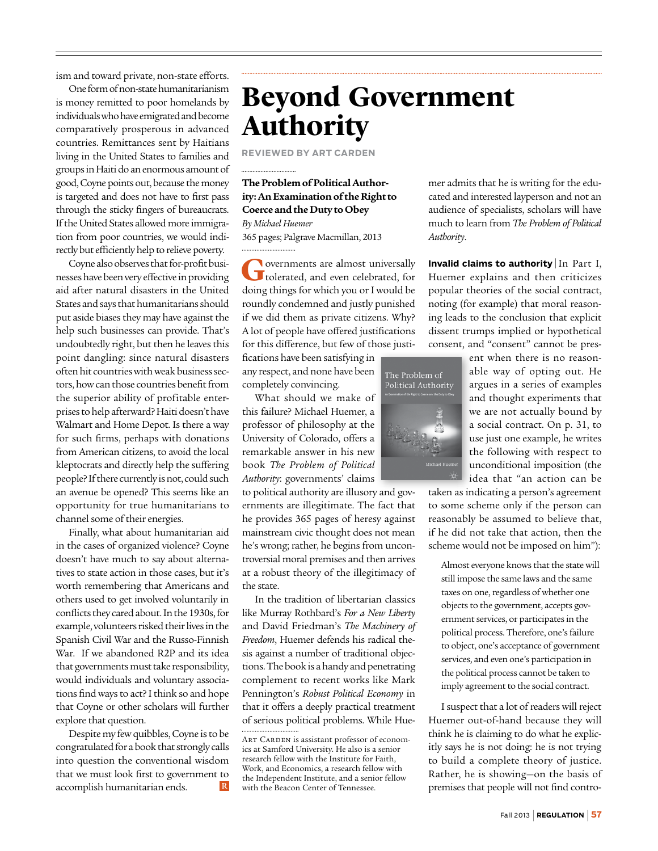ism and toward private, non-state efforts.

One form of non-state humanitarianism is money remitted to poor homelands by individuals who have emigrated and become comparatively prosperous in advanced countries. Remittances sent by Haitians living in the United States to families and groups in Haiti do an enormous amount of good, Coyne points out, because the money is targeted and does not have to first pass through the sticky fingers of bureaucrats. If the United States allowed more immigration from poor countries, we would indirectly but efficiently help to relieve poverty.

Coyne also observes that for-profit businesses have been very effective in providing aid after natural disasters in the United States and says that humanitarians should put aside biases they may have against the help such businesses can provide. That's undoubtedly right, but then he leaves this point dangling: since natural disasters often hit countries with weak business sectors, how can those countries benefit from the superior ability of profitable enterprises to help afterward? Haiti doesn't have Walmart and Home Depot. Is there a way for such firms, perhaps with donations from American citizens, to avoid the local kleptocrats and directly help the suffering people? If there currently is not, could such an avenue be opened? This seems like an opportunity for true humanitarians to channel some of their energies.

Finally, what about humanitarian aid in the cases of organized violence? Coyne doesn't have much to say about alternatives to state action in those cases, but it's worth remembering that Americans and others used to get involved voluntarily in conflicts they cared about. In the 1930s, for example, volunteers risked their lives in the Spanish Civil War and the Russo-Finnish War. If we abandoned R2P and its idea that governments must take responsibility, would individuals and voluntary associations find ways to act? I think so and hope that Coyne or other scholars will further explore that question.

Despite my few quibbles, Coyne is to be congratulated for a book that strongly calls into question the conventional wisdom that we must look first to government to accomplish humanitarian ends.  $\mathbb R$ 

## **Beyond Government Authority**

**Reviewed by Art Carden**

#### **The Problem of Political Authority: An Examination of the Right to Coerce and the Duty to Obey**  *By Michael Huemer*

365 pages; Palgrave Macmillan, 2013

**G**overnments are almost universally tolerated, and even celebrated, for doing things for which you or I would be roundly condemned and justly punished if we did them as private citizens. Why? A lot of people have offered justifications for this difference, but few of those justi-

fications have been satisfying in any respect, and none have been completely convincing.

What should we make of this failure? Michael Huemer, a professor of philosophy at the University of Colorado, offers a remarkable answer in his new book *The Problem of Political Authority*: governments' claims

to political authority are illusory and governments are illegitimate. The fact that he provides 365 pages of heresy against mainstream civic thought does not mean he's wrong; rather, he begins from uncontroversial moral premises and then arrives at a robust theory of the illegitimacy of the state.

In the tradition of libertarian classics like Murray Rothbard's *For a New Liberty* and David Friedman's *The Machinery of Freedom*, Huemer defends his radical thesis against a number of traditional objections. The book is a handy and penetrating complement to recent works like Mark Pennington's *Robust Political Economy* in that it offers a deeply practical treatment of serious political problems. While Hue-

mer admits that he is writing for the educated and interested layperson and not an audience of specialists, scholars will have much to learn from *The Problem of Political Authority*.

**Invalid claims to authority** | In Part I, Huemer explains and then criticizes popular theories of the social contract, noting (for example) that moral reasoning leads to the conclusion that explicit dissent trumps implied or hypothetical consent, and "consent" cannot be pres-



ent when there is no reasonable way of opting out. He argues in a series of examples and thought experiments that we are not actually bound by a social contract. On p. 31, to use just one example, he writes the following with respect to unconditional imposition (the idea that "an action can be

taken as indicating a person's agreement to some scheme only if the person can reasonably be assumed to believe that, if he did not take that action, then the scheme would not be imposed on him"):

Almost everyone knows that the state will still impose the same laws and the same taxes on one, regardless of whether one objects to the government, accepts government services, or participates in the political process. Therefore, one's failure to object, one's acceptance of government services, and even one's participation in the political process cannot be taken to imply agreement to the social contract.

I suspect that a lot of readers will reject Huemer out-of-hand because they will think he is claiming to do what he explicitly says he is not doing: he is not trying to build a complete theory of justice. Rather, he is showing—on the basis of premises that people will not find contro-

ART CARDEN is assistant professor of economics at Samford University. He also is a senior research fellow with the Institute for Faith, Work, and Economics, a research fellow with the Independent Institute, and a senior fellow with the Beacon Center of Tennessee.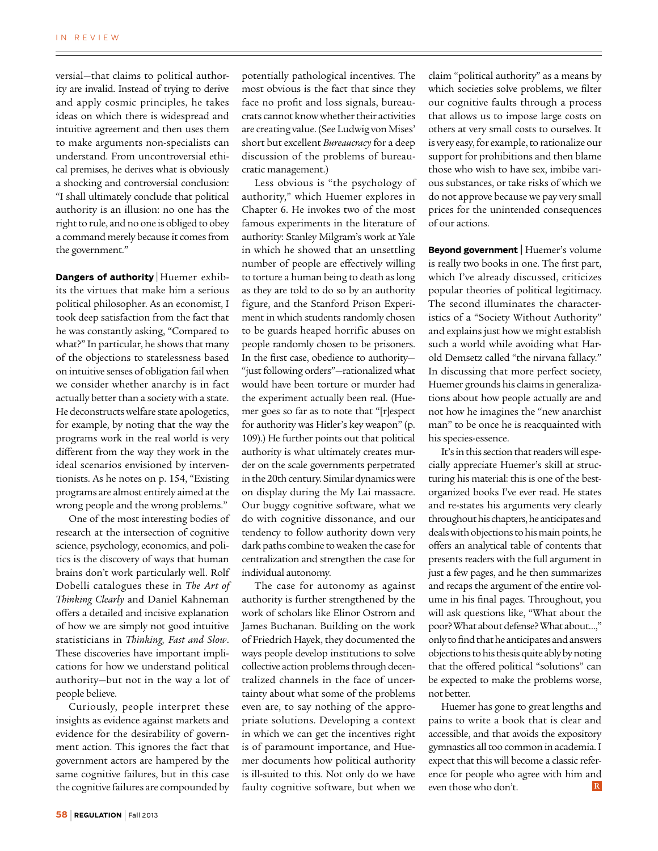versial—that claims to political authority are invalid. Instead of trying to derive and apply cosmic principles, he takes ideas on which there is widespread and intuitive agreement and then uses them to make arguments non-specialists can understand. From uncontroversial ethical premises, he derives what is obviously a shocking and controversial conclusion: "I shall ultimately conclude that political authority is an illusion: no one has the right to rule, and no one is obliged to obey a command merely because it comes from the government."

**Dangers of authority** | Huemer exhibits the virtues that make him a serious political philosopher. As an economist, I took deep satisfaction from the fact that he was constantly asking, "Compared to what?" In particular, he shows that many of the objections to statelessness based on intuitive senses of obligation fail when we consider whether anarchy is in fact actually better than a society with a state. He deconstructs welfare state apologetics, for example, by noting that the way the programs work in the real world is very different from the way they work in the ideal scenarios envisioned by interventionists. As he notes on p. 154, "Existing programs are almost entirely aimed at the wrong people and the wrong problems."

One of the most interesting bodies of research at the intersection of cognitive science, psychology, economics, and politics is the discovery of ways that human brains don't work particularly well. Rolf Dobelli catalogues these in *The Art of Thinking Clearly* and Daniel Kahneman offers a detailed and incisive explanation of how we are simply not good intuitive statisticians in *Thinking, Fast and Slow*. These discoveries have important implications for how we understand political authority—but not in the way a lot of people believe.

Curiously, people interpret these insights as evidence against markets and evidence for the desirability of government action. This ignores the fact that government actors are hampered by the same cognitive failures, but in this case the cognitive failures are compounded by potentially pathological incentives. The most obvious is the fact that since they face no profit and loss signals, bureaucrats cannot know whether their activities are creating value. (See Ludwig von Mises' short but excellent *Bureaucracy* for a deep discussion of the problems of bureaucratic management.)

Less obvious is "the psychology of authority," which Huemer explores in Chapter 6. He invokes two of the most famous experiments in the literature of authority: Stanley Milgram's work at Yale in which he showed that an unsettling number of people are effectively willing to torture a human being to death as long as they are told to do so by an authority figure, and the Stanford Prison Experiment in which students randomly chosen to be guards heaped horrific abuses on people randomly chosen to be prisoners. In the first case, obedience to authority— "just following orders"—rationalized what would have been torture or murder had the experiment actually been real. (Huemer goes so far as to note that "[r]espect for authority was Hitler's key weapon" (p. 109).) He further points out that political authority is what ultimately creates murder on the scale governments perpetrated in the 20th century. Similar dynamics were on display during the My Lai massacre. Our buggy cognitive software, what we do with cognitive dissonance, and our tendency to follow authority down very dark paths combine to weaken the case for centralization and strengthen the case for individual autonomy.

The case for autonomy as against authority is further strengthened by the work of scholars like Elinor Ostrom and James Buchanan. Building on the work of Friedrich Hayek, they documented the ways people develop institutions to solve collective action problems through decentralized channels in the face of uncertainty about what some of the problems even are, to say nothing of the appropriate solutions. Developing a context in which we can get the incentives right is of paramount importance, and Huemer documents how political authority is ill-suited to this. Not only do we have faulty cognitive software, but when we

claim "political authority" as a means by which societies solve problems, we filter our cognitive faults through a process that allows us to impose large costs on others at very small costs to ourselves. It is very easy, for example, to rationalize our support for prohibitions and then blame those who wish to have sex, imbibe various substances, or take risks of which we do not approve because we pay very small prices for the unintended consequences of our actions.

**Beyond government |** Huemer's volume is really two books in one. The first part, which I've already discussed, criticizes popular theories of political legitimacy. The second illuminates the characteristics of a "Society Without Authority" and explains just how we might establish such a world while avoiding what Harold Demsetz called "the nirvana fallacy." In discussing that more perfect society, Huemer grounds his claims in generalizations about how people actually are and not how he imagines the "new anarchist man" to be once he is reacquainted with his species-essence.

It's in this section that readers will especially appreciate Huemer's skill at structuring his material: this is one of the bestorganized books I've ever read. He states and re-states his arguments very clearly throughout his chapters, he anticipates and deals with objections to his main points, he offers an analytical table of contents that presents readers with the full argument in just a few pages, and he then summarizes and recaps the argument of the entire volume in his final pages. Throughout, you will ask questions like, "What about the poor? What about defense? What about…," only to find that he anticipates and answers objections to his thesis quite ably by noting that the offered political "solutions" can be expected to make the problems worse, not better.

Huemer has gone to great lengths and pains to write a book that is clear and accessible, and that avoids the expository gymnastics all too common in academia. I expect that this will become a classic reference for people who agree with him and even those who don't.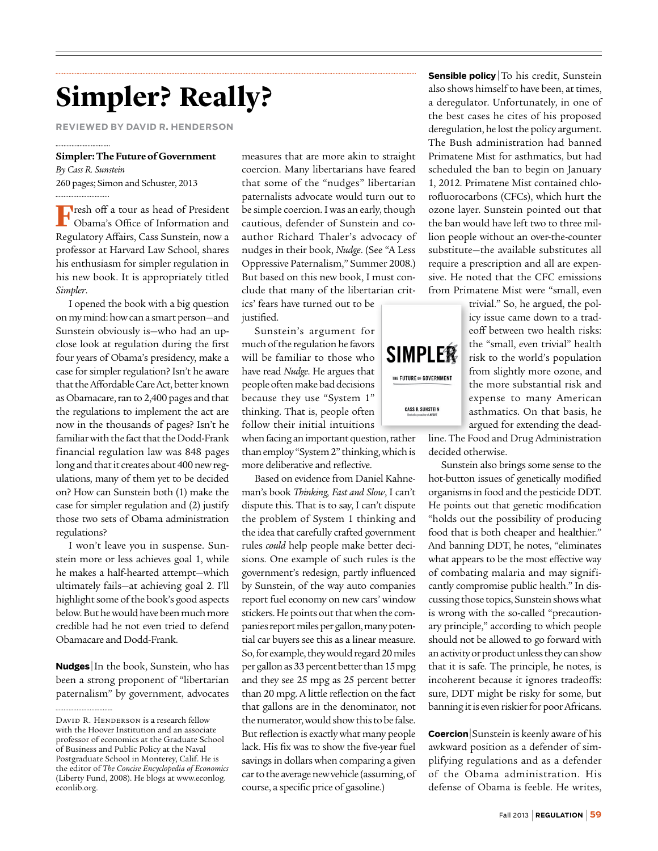## **Simpler? Really?**

**Reviewed by David R. Henderson**

#### **Simpler: The Future of Government**

*By Cass R. Sunstein* 260 pages; Simon and Schuster, 2013

**F**resh off a tour as head of President Obama's Office of Information and Regulatory Affairs, Cass Sunstein, now a professor at Harvard Law School, shares his enthusiasm for simpler regulation in his new book. It is appropriately titled *Simpler*.

I opened the book with a big question on my mind: how can a smart person—and Sunstein obviously is—who had an upclose look at regulation during the first four years of Obama's presidency, make a case for simpler regulation? Isn't he aware that the Affordable Care Act, better known as Obamacare, ran to 2,400 pages and that the regulations to implement the act are now in the thousands of pages? Isn't he familiar with the fact that the Dodd-Frank financial regulation law was 848 pages long and that it creates about 400 new regulations, many of them yet to be decided on? How can Sunstein both (1) make the case for simpler regulation and (2) justify those two sets of Obama administration regulations?

I won't leave you in suspense. Sunstein more or less achieves goal 1, while he makes a half-hearted attempt—which ultimately fails—at achieving goal 2. I'll highlight some of the book's good aspects below. But he would have been much more credible had he not even tried to defend Obamacare and Dodd-Frank.

**Nudges** | In the book, Sunstein, who has been a strong proponent of "libertarian paternalism" by government, advocates

measures that are more akin to straight coercion. Many libertarians have feared that some of the "nudges" libertarian paternalists advocate would turn out to be simple coercion. I was an early, though cautious, defender of Sunstein and coauthor Richard Thaler's advocacy of nudges in their book, *Nudge*. (See "A Less Oppressive Paternalism," Summer 2008.) But based on this new book, I must conclude that many of the libertarian critics' fears have turned out to be

justified.

Sunstein's argument for much of the regulation he favors will be familiar to those who have read *Nudge*. He argues that people often make bad decisions because they use "System 1" thinking. That is, people often follow their initial intuitions

when facing an important question, rather than employ "System 2" thinking, which is more deliberative and reflective.

Based on evidence from Daniel Kahneman's book *Thinking, Fast and Slow*, I can't dispute this. That is to say, I can't dispute the problem of System 1 thinking and the idea that carefully crafted government rules *could* help people make better decisions. One example of such rules is the government's redesign, partly influenced by Sunstein, of the way auto companies report fuel economy on new cars' window stickers. He points out that when the companies report miles per gallon, many potential car buyers see this as a linear measure. So, for example, they would regard 20 miles per gallon as 33 percent better than 15 mpg and they see 25 mpg as 25 percent better than 20 mpg. A little reflection on the fact that gallons are in the denominator, not the numerator, would show this to be false. But reflection is exactly what many people lack. His fix was to show the five-year fuel savings in dollars when comparing a given car to the average new vehicle (assuming, of course, a specific price of gasoline.)

**Sensible policy** To his credit, Sunstein also shows himself to have been, at times, a deregulator. Unfortunately, in one of the best cases he cites of his proposed deregulation, he lost the policy argument. The Bush administration had banned Primatene Mist for asthmatics, but had scheduled the ban to begin on January 1, 2012. Primatene Mist contained chlorofluorocarbons (CFCs), which hurt the ozone layer. Sunstein pointed out that the ban would have left two to three million people without an over-the-counter substitute—the available substitutes all require a prescription and all are expensive. He noted that the CFC emissions from Primatene Mist were "small, even

> trivial." So, he argued, the policy issue came down to a tradeoff between two health risks: the "small, even trivial" health risk to the world's population from slightly more ozone, and the more substantial risk and expense to many American asthmatics. On that basis, he argued for extending the dead-

line. The Food and Drug Administration decided otherwise.

Sunstein also brings some sense to the hot-button issues of genetically modified organisms in food and the pesticide DDT. He points out that genetic modification "holds out the possibility of producing food that is both cheaper and healthier." And banning DDT, he notes, "eliminates what appears to be the most effective way of combating malaria and may significantly compromise public health." In discussing those topics, Sunstein shows what is wrong with the so-called "precautionary principle," according to which people should not be allowed to go forward with an activity or product unless they can show that it is safe. The principle, he notes, is incoherent because it ignores tradeoffs: sure, DDT might be risky for some, but banning it is even riskier for poor Africans.

**Coercion** Sunstein is keenly aware of his awkward position as a defender of simplifying regulations and as a defender of the Obama administration. His defense of Obama is feeble. He writes,



DAVID R. HENDERSON is a research fellow with the Hoover Institution and an associate professor of economics at the Graduate School of Business and Public Policy at the Naval Postgraduate School in Monterey, Calif. He is the editor of *The Concise Encyclopedia of Economics*  (Liberty Fund, 2008). He blogs at www.econlog. econlib.org.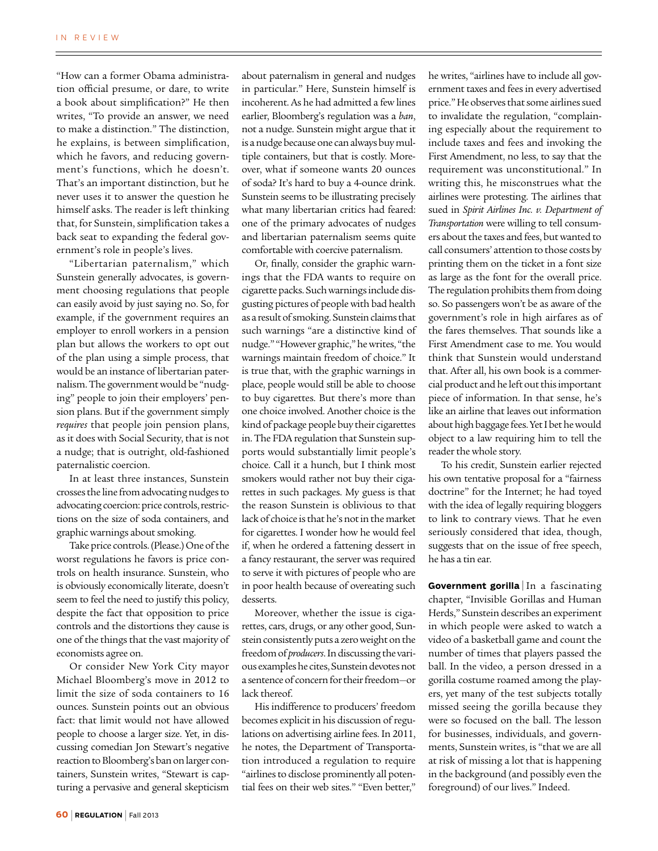"How can a former Obama administration official presume, or dare, to write a book about simplification?" He then writes, "To provide an answer, we need to make a distinction." The distinction, he explains, is between simplification, which he favors, and reducing government's functions, which he doesn't. That's an important distinction, but he never uses it to answer the question he himself asks. The reader is left thinking that, for Sunstein, simplification takes a back seat to expanding the federal government's role in people's lives.

"Libertarian paternalism," which Sunstein generally advocates, is government choosing regulations that people can easily avoid by just saying no. So, for example, if the government requires an employer to enroll workers in a pension plan but allows the workers to opt out of the plan using a simple process, that would be an instance of libertarian paternalism. The government would be "nudging" people to join their employers' pension plans. But if the government simply *requires* that people join pension plans, as it does with Social Security, that is not a nudge; that is outright, old-fashioned paternalistic coercion.

In at least three instances, Sunstein crosses the line from advocating nudges to advocating coercion: price controls, restrictions on the size of soda containers, and graphic warnings about smoking.

Take price controls. (Please.) One of the worst regulations he favors is price controls on health insurance. Sunstein, who is obviously economically literate, doesn't seem to feel the need to justify this policy, despite the fact that opposition to price controls and the distortions they cause is one of the things that the vast majority of economists agree on.

Or consider New York City mayor Michael Bloomberg's move in 2012 to limit the size of soda containers to 16 ounces. Sunstein points out an obvious fact: that limit would not have allowed people to choose a larger size. Yet, in discussing comedian Jon Stewart's negative reaction to Bloomberg's ban on larger containers, Sunstein writes, "Stewart is capturing a pervasive and general skepticism

about paternalism in general and nudges in particular." Here, Sunstein himself is incoherent. As he had admitted a few lines earlier, Bloomberg's regulation was a *ban*, not a nudge. Sunstein might argue that it is a nudge because one can always buy multiple containers, but that is costly. Moreover, what if someone wants 20 ounces of soda? It's hard to buy a 4-ounce drink. Sunstein seems to be illustrating precisely what many libertarian critics had feared: one of the primary advocates of nudges and libertarian paternalism seems quite comfortable with coercive paternalism.

Or, finally, consider the graphic warnings that the FDA wants to require on cigarette packs. Such warnings include disgusting pictures of people with bad health as a result of smoking. Sunstein claims that such warnings "are a distinctive kind of nudge." "However graphic," he writes, "the warnings maintain freedom of choice." It is true that, with the graphic warnings in place, people would still be able to choose to buy cigarettes. But there's more than one choice involved. Another choice is the kind of package people buy their cigarettes in. The FDA regulation that Sunstein supports would substantially limit people's choice. Call it a hunch, but I think most smokers would rather not buy their cigarettes in such packages. My guess is that the reason Sunstein is oblivious to that lack of choice is that he's not in the market for cigarettes. I wonder how he would feel if, when he ordered a fattening dessert in a fancy restaurant, the server was required to serve it with pictures of people who are in poor health because of overeating such desserts.

Moreover, whether the issue is cigarettes, cars, drugs, or any other good, Sunstein consistently puts a zero weight on the freedom of *producers*. In discussing the various examples he cites, Sunstein devotes not a sentence of concern for their freedom—or lack thereof.

His indifference to producers' freedom becomes explicit in his discussion of regulations on advertising airline fees. In 2011, he notes, the Department of Transportation introduced a regulation to require "airlines to disclose prominently all potential fees on their web sites." "Even better," he writes, "airlines have to include all government taxes and fees in every advertised price." He observes that some airlines sued to invalidate the regulation, "complaining especially about the requirement to include taxes and fees and invoking the First Amendment, no less, to say that the requirement was unconstitutional." In writing this, he misconstrues what the airlines were protesting. The airlines that sued in *Spirit Airlines Inc. v. Department of Transportation* were willing to tell consumers about the taxes and fees, but wanted to call consumers' attention to those costs by printing them on the ticket in a font size as large as the font for the overall price. The regulation prohibits them from doing so. So passengers won't be as aware of the government's role in high airfares as of the fares themselves. That sounds like a First Amendment case to me. You would think that Sunstein would understand that. After all, his own book is a commercial product and he left out this important piece of information. In that sense, he's like an airline that leaves out information about high baggage fees. Yet I bet he would object to a law requiring him to tell the reader the whole story.

To his credit, Sunstein earlier rejected his own tentative proposal for a "fairness doctrine" for the Internet; he had toyed with the idea of legally requiring bloggers to link to contrary views. That he even seriously considered that idea, though, suggests that on the issue of free speech, he has a tin ear.

**Government gorilla** | In a fascinating chapter, "Invisible Gorillas and Human Herds," Sunstein describes an experiment in which people were asked to watch a video of a basketball game and count the number of times that players passed the ball. In the video, a person dressed in a gorilla costume roamed among the players, yet many of the test subjects totally missed seeing the gorilla because they were so focused on the ball. The lesson for businesses, individuals, and governments, Sunstein writes, is "that we are all at risk of missing a lot that is happening in the background (and possibly even the foreground) of our lives." Indeed.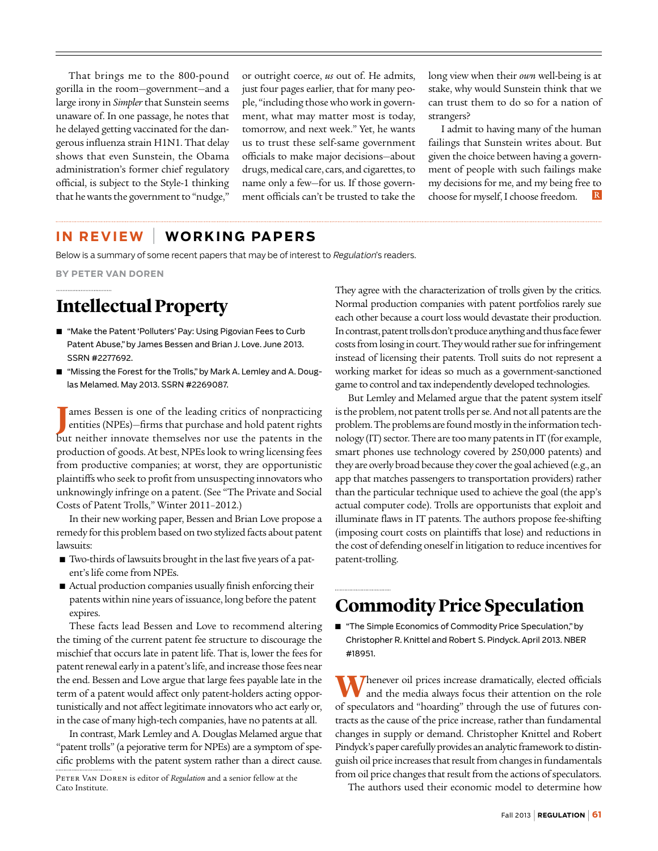That brings me to the 800-pound gorilla in the room—government—and a large irony in *Simpler* that Sunstein seems unaware of. In one passage, he notes that he delayed getting vaccinated for the dangerous influenza strain H1N1. That delay shows that even Sunstein, the Obama administration's former chief regulatory official, is subject to the Style-1 thinking that he wants the government to "nudge,"

or outright coerce, *us* out of. He admits, just four pages earlier, that for many people, "including those who work in government, what may matter most is today, tomorrow, and next week." Yet, he wants us to trust these self-same government officials to make major decisions—about drugs, medical care, cars, and cigarettes, to name only a few—for us. If those government officials can't be trusted to take the long view when their *own* well-being is at stake, why would Sunstein think that we can trust them to do so for a nation of strangers?

I admit to having many of the human failings that Sunstein writes about. But given the choice between having a government of people with such failings make my decisions for me, and my being free to choose for myself, I choose freedom.  $\vert R \vert$ 

### **I n Review** | **Wo rki n g Papers**

Below is a summary of some recent papers that may be of interest to Regulation's readers.

**By Peter Van Doren**

## **Intellectual Property**

- "Make the Patent 'Polluters' Pay: Using Pigovian Fees to Curb Patent Abuse," by James Bessen and Brian J. Love. June 2013. SSRN #2277692.
- "Missing the Forest for the Trolls," by Mark A. Lemley and A. Douglas Melamed. May 2013. SSRN #2269087.

**J** ames Bessen is one of the leading critics of nonpracticing entities (NPEs)—firms that purchase and hold patent rights but neither innovate themselves nor use the patents in the production of goods. At best, NPEs look to wring licensing fees from productive companies; at worst, they are opportunistic plaintiffs who seek to profit from unsuspecting innovators who unknowingly infringe on a patent. (See "The Private and Social Costs of Patent Trolls," Winter 2011–2012.)

In their new working paper, Bessen and Brian Love propose a remedy for this problem based on two stylized facts about patent lawsuits:

- Two-thirds of lawsuits brought in the last five years of a patent's life come from NPEs.
- Actual production companies usually finish enforcing their patents within nine years of issuance, long before the patent expires.

These facts lead Bessen and Love to recommend altering the timing of the current patent fee structure to discourage the mischief that occurs late in patent life. That is, lower the fees for patent renewal early in a patent's life, and increase those fees near the end. Bessen and Love argue that large fees payable late in the term of a patent would affect only patent-holders acting opportunistically and not affect legitimate innovators who act early or, in the case of many high-tech companies, have no patents at all.

In contrast, Mark Lemley and A. Douglas Melamed argue that "patent trolls" (a pejorative term for NPEs) are a symptom of specific problems with the patent system rather than a direct cause. They agree with the characterization of trolls given by the critics. Normal production companies with patent portfolios rarely sue each other because a court loss would devastate their production. In contrast, patent trolls don't produce anything and thus face fewer costs from losing in court. They would rather sue for infringement instead of licensing their patents. Troll suits do not represent a working market for ideas so much as a government-sanctioned game to control and tax independently developed technologies.

But Lemley and Melamed argue that the patent system itself is the problem, not patent trolls per se. And not all patents are the problem. The problems are found mostly in the information technology (IT) sector. There are too many patents in IT (for example, smart phones use technology covered by 250,000 patents) and they are overly broad because they cover the goal achieved (e.g., an app that matches passengers to transportation providers) rather than the particular technique used to achieve the goal (the app's actual computer code). Trolls are opportunists that exploit and illuminate flaws in IT patents. The authors propose fee-shifting (imposing court costs on plaintiffs that lose) and reductions in the cost of defending oneself in litigation to reduce incentives for patent-trolling.

## **Commodity Price Speculation**

■ "The Simple Economics of Commodity Price Speculation," by Christopher R. Knittel and Robert S. Pindyck. April 2013. NBER #18951.

Whenever oil prices increase dramatically, elected officials and the media always focus their attention on the role of speculators and "hoarding" through the use of futures contracts as the cause of the price increase, rather than fundamental changes in supply or demand. Christopher Knittel and Robert Pindyck's paper carefully provides an analytic framework to distinguish oil price increases that result from changes in fundamentals from oil price changes that result from the actions of speculators.

The authors used their economic model to determine how

Peter Van Doren is editor of *Regulation* and a senior fellow at the Cato Institute.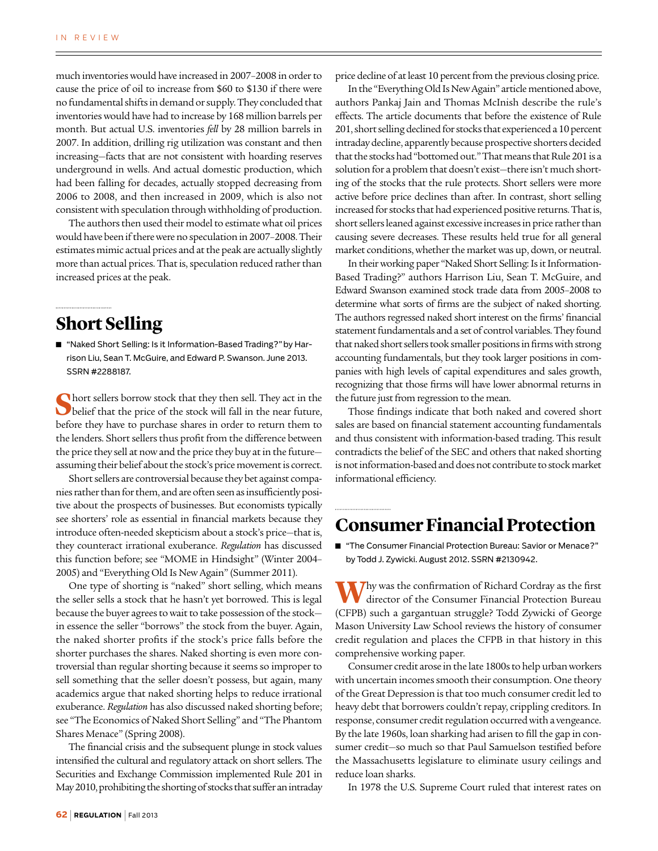much inventories would have increased in 2007–2008 in order to cause the price of oil to increase from \$60 to \$130 if there were no fundamental shifts in demand or supply. They concluded that inventories would have had to increase by 168 million barrels per month. But actual U.S. inventories *fell* by 28 million barrels in 2007. In addition, drilling rig utilization was constant and then increasing—facts that are not consistent with hoarding reserves underground in wells. And actual domestic production, which had been falling for decades, actually stopped decreasing from 2006 to 2008, and then increased in 2009, which is also not consistent with speculation through withholding of production.

The authors then used their model to estimate what oil prices would have been if there were no speculation in 2007–2008. Their estimates mimic actual prices and at the peak are actually slightly more than actual prices. That is, speculation reduced rather than increased prices at the peak.

### **Short Selling**

■ "Naked Short Selling: Is it Information-Based Trading?" by Harrison Liu, Sean T. McGuire, and Edward P. Swanson. June 2013. SSRN #2288187.

**S**hort sellers borrow stock that they then sell. They act in the belief that the price of the stock will fall in the near future, before they have to purchase shares in order to return them to the lenders. Short sellers thus profit from the difference between the price they sell at now and the price they buy at in the future assuming their belief about the stock's price movement is correct.

Short sellers are controversial because they bet against companies rather than for them, and are often seen as insufficiently positive about the prospects of businesses. But economists typically see shorters' role as essential in financial markets because they introduce often-needed skepticism about a stock's price—that is, they counteract irrational exuberance. *Regulation* has discussed this function before; see "MOME in Hindsight" (Winter 2004– 2005) and "Everything Old Is New Again" (Summer 2011).

One type of shorting is "naked" short selling, which means the seller sells a stock that he hasn't yet borrowed. This is legal because the buyer agrees to wait to take possession of the stock in essence the seller "borrows" the stock from the buyer. Again, the naked shorter profits if the stock's price falls before the shorter purchases the shares. Naked shorting is even more controversial than regular shorting because it seems so improper to sell something that the seller doesn't possess, but again, many academics argue that naked shorting helps to reduce irrational exuberance. *Regulation* has also discussed naked shorting before; see "The Economics of Naked Short Selling" and "The Phantom Shares Menace" (Spring 2008).

The financial crisis and the subsequent plunge in stock values intensified the cultural and regulatory attack on short sellers. The Securities and Exchange Commission implemented Rule 201 in May 2010, prohibiting the shorting of stocks that suffer an intraday price decline of at least 10 percent from the previous closing price.

In the "Everything Old Is New Again" article mentioned above, authors Pankaj Jain and Thomas McInish describe the rule's effects. The article documents that before the existence of Rule 201, short selling declined for stocks that experienced a 10 percent intraday decline, apparently because prospective shorters decided that the stocks had "bottomed out." That means that Rule 201 is a solution for a problem that doesn't exist—there isn't much shorting of the stocks that the rule protects. Short sellers were more active before price declines than after. In contrast, short selling increased for stocks that had experienced positive returns. That is, short sellers leaned against excessive increases in price rather than causing severe decreases. These results held true for all general market conditions, whether the market was up, down, or neutral.

In their working paper "Naked Short Selling: Is it Information-Based Trading?" authors Harrison Liu, Sean T. McGuire, and Edward Swanson examined stock trade data from 2005–2008 to determine what sorts of firms are the subject of naked shorting. The authors regressed naked short interest on the firms' financial statement fundamentals and a set of control variables. They found that naked short sellers took smaller positions in firms with strong accounting fundamentals, but they took larger positions in companies with high levels of capital expenditures and sales growth, recognizing that those firms will have lower abnormal returns in the future just from regression to the mean.

Those findings indicate that both naked and covered short sales are based on financial statement accounting fundamentals and thus consistent with information-based trading. This result contradicts the belief of the SEC and others that naked shorting is not information-based and does not contribute to stock market informational efficiency.

### **Consumer Financial Protection**

■ "The Consumer Financial Protection Bureau: Savior or Menace?" by Todd J. Zywicki. August 2012. SSRN #2130942.

Why was the confirmation of Richard Cordray as the first director of the Consumer Financial Protection Bureau (CFPB) such a gargantuan struggle? Todd Zywicki of George Mason University Law School reviews the history of consumer credit regulation and places the CFPB in that history in this comprehensive working paper.

Consumer credit arose in the late 1800s to help urban workers with uncertain incomes smooth their consumption. One theory of the Great Depression is that too much consumer credit led to heavy debt that borrowers couldn't repay, crippling creditors. In response, consumer credit regulation occurred with a vengeance. By the late 1960s, loan sharking had arisen to fill the gap in consumer credit—so much so that Paul Samuelson testified before the Massachusetts legislature to eliminate usury ceilings and reduce loan sharks.

In 1978 the U.S. Supreme Court ruled that interest rates on